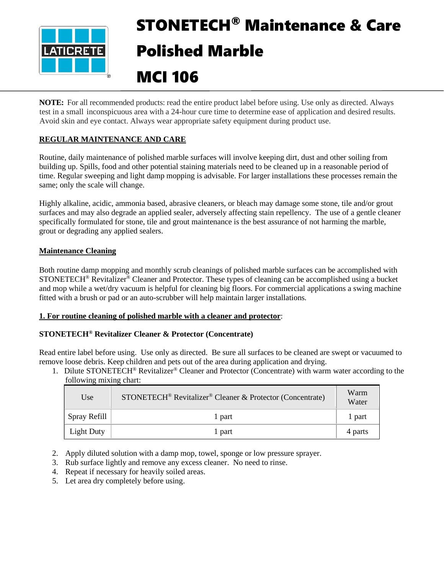

# STONETECH® Maintenance & Care Polished Marble

# MCI 106

**NOTE:** For all recommended products: read the entire product label before using. Use only as directed. Always test in a small inconspicuous area with a 24-hour cure time to determine ease of application and desired results. Avoid skin and eye contact. Always wear appropriate safety equipment during product use.

# **REGULAR MAINTENANCE AND CARE**

Routine, daily maintenance of polished marble surfaces will involve keeping dirt, dust and other soiling from building up. Spills, food and other potential staining materials need to be cleaned up in a reasonable period of time. Regular sweeping and light damp mopping is advisable. For larger installations these processes remain the same; only the scale will change.

Highly alkaline, acidic, ammonia based, abrasive cleaners, or bleach may damage some stone, tile and/or grout surfaces and may also degrade an applied sealer, adversely affecting stain repellency. The use of a gentle cleaner specifically formulated for stone, tile and grout maintenance is the best assurance of not harming the marble, grout or degrading any applied sealers.

# **Maintenance Cleaning**

Both routine damp mopping and monthly scrub cleanings of polished marble surfaces can be accomplished with STONETECH® Revitalizer® Cleaner and Protector. These types of cleaning can be accomplished using a bucket and mop while a wet/dry vacuum is helpful for cleaning big floors. For commercial applications a swing machine fitted with a brush or pad or an auto-scrubber will help maintain larger installations.

# **1. For routine cleaning of polished marble with a cleaner and protector**:

# **STONETECH® Revitalizer Cleaner & Protector (Concentrate)**

Read entire label before using. Use only as directed. Be sure all surfaces to be cleaned are swept or vacuumed to remove loose debris. Keep children and pets out of the area during application and drying.

1. Dilute STONETECH® Revitalizer® Cleaner and Protector (Concentrate) with warm water according to the following mixing chart:

| Use               | STONETECH <sup>®</sup> Revitalizer <sup>®</sup> Cleaner & Protector (Concentrate) | Warm<br>Water |
|-------------------|-----------------------------------------------------------------------------------|---------------|
| Spray Refill      | 1 part                                                                            | 1 part        |
| <b>Light Duty</b> | l part                                                                            | 4 parts       |

- 2. Apply diluted solution with a damp mop, towel, sponge or low pressure sprayer.
- 3. Rub surface lightly and remove any excess cleaner. No need to rinse.
- 4. Repeat if necessary for heavily soiled areas.
- 5. Let area dry completely before using.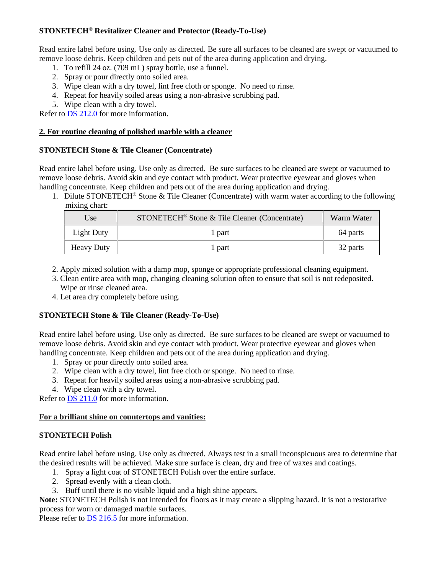#### **STONETECH® Revitalizer Cleaner and Protector (Ready-To-Use)**

Read entire label before using. Use only as directed. Be sure all surfaces to be cleaned are swept or vacuumed to remove loose debris. Keep children and pets out of the area during application and drying.

- 1. To refill 24 oz. (709 mL) spray bottle, use a funnel.
- 2. Spray or pour directly onto soiled area.
- 3. Wipe clean with a dry towel, lint free cloth or sponge. No need to rinse.
- 4. Repeat for heavily soiled areas using a non-abrasive scrubbing pad.
- 5. Wipe clean with a dry towel.

Refer to DS [212.0](https://cdn.laticrete.com/~/media/product-documents/product-data-sheets/ds-212.ashx) for more information.

#### **2. For routine cleaning of polished marble with a cleaner**

#### **STONETECH Stone & Tile Cleaner (Concentrate)**

Read entire label before using. Use only as directed. Be sure surfaces to be cleaned are swept or vacuumed to remove loose debris. Avoid skin and eye contact with product. Wear protective eyewear and gloves when handling concentrate. Keep children and pets out of the area during application and drying.

1. Dilute STONETECH® Stone & Tile Cleaner (Concentrate) with warm water according to the following mixing chart:

| Use               | STONETECH <sup>®</sup> Stone & Tile Cleaner (Concentrate) | Warm Water |  |
|-------------------|-----------------------------------------------------------|------------|--|
| Light Duty        | l part                                                    | 64 parts   |  |
| <b>Heavy Duty</b> | l part                                                    | 32 parts   |  |

- 2. Apply mixed solution with a damp mop, sponge or appropriate professional cleaning equipment.
- 3. Clean entire area with mop, changing cleaning solution often to ensure that soil is not redeposited. Wipe or rinse cleaned area.
- 4. Let area dry completely before using.

# **STONETECH Stone & Tile Cleaner (Ready-To-Use)**

Read entire label before using. Use only as directed. Be sure surfaces to be cleaned are swept or vacuumed to remove loose debris. Avoid skin and eye contact with product. Wear protective eyewear and gloves when handling concentrate. Keep children and pets out of the area during application and drying.

- 1. Spray or pour directly onto soiled area.
- 2. Wipe clean with a dry towel, lint free cloth or sponge. No need to rinse.
- 3. Repeat for heavily soiled areas using a non-abrasive scrubbing pad.
- 4. Wipe clean with a dry towel.

Refer to **DS 211.0** for more information.

#### **For a brilliant shine on countertops and vanities:**

#### **STONETECH Polish**

Read entire label before using. Use only as directed. Always test in a small inconspicuous area to determine that the desired results will be achieved. Make sure surface is clean, dry and free of waxes and coatings.

- 1. Spray a light coat of STONETECH Polish over the entire surface.
- 2. Spread evenly with a clean cloth.
- 3. Buff until there is no visible liquid and a high shine appears.

**Note:** STONETECH Polish is not intended for floors as it may create a slipping hazard. It is not a restorative process for worn or damaged marble surfaces.

Please refer to **DS** 216.5 for more information.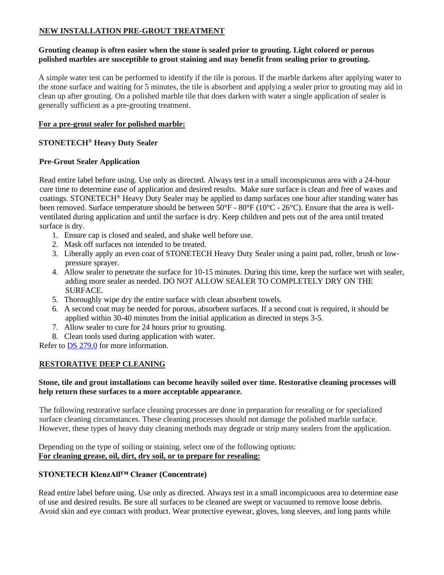# **NEW INSTALLATION PRE-GROUT TREATMENT**

#### **Grouting cleanup is often easier when the stone is sealed prior to grouting. Light colored or porous polished marbles are susceptible to grout staining and may benefit from sealing prior to grouting.**

A simple water test can be performed to identify if the tile is porous. If the marble darkens after applying water to the stone surface and waiting for 5 minutes, the tile is absorbent and applying a sealer prior to grouting may aid in clean up after grouting. On a polished marble tile that does darken with water a single application of sealer is generally sufficient as a pre-grouting treatment.

#### **For a pre-grout sealer for polished marble:**

# **STONETECH® Heavy Duty Sealer**

#### **Pre-Grout Sealer Application**

Read entire label before using. Use only as directed. Always test in a small inconspicuous area with a 24-hour cure time to determine ease of application and desired results. Make sure surface is clean and free of waxes and coatings. STONETECH® Heavy Duty Sealer may be applied to damp surfaces one hour after standing water has been removed. Surface temperature should be between 50°F - 80°F (10°C - 26°C). Ensure that the area is wellventilated during application and until the surface is dry. Keep children and pets out of the area until treated surface is dry.

- 1. Ensure cap is closed and sealed, and shake well before use.
- 2. Mask off surfaces not intended to be treated.
- 3. Liberally apply an even coat of STONETECH Heavy Duty Sealer using a paint pad, roller, brush or lowpressure sprayer.
- 4. Allow sealer to penetrate the surface for 10-15 minutes. During this time, keep the surface wet with sealer, adding more sealer as needed. DO NOT ALLOW SEALER TO COMPLETELY DRY ON THE SURFACE.
- 5. Thoroughly wipe dry the entire surface with clean absorbent towels.
- 6. A second coat may be needed for porous, absorbent surfaces. If a second coat is required, it should be applied within 30-40 minutes from the initial application as directed in steps 3-5.
- 7. Allow sealer to cure for 24 hours prior to grouting.
- 8. Clean tools used during application with water.

Refer to [DS 279.0](https://cdn.laticrete.com/~/media/product-documents/product-data-sheets/ds-279.ashx) for more information.

#### **RESTORATIVE DEEP CLEANING**

#### **Stone, tile and grout installations can become heavily soiled over time. Restorative cleaning processes will help return these surfaces to a more acceptable appearance.**

The following restorative surface cleaning processes are done in preparation for resealing or for specialized surface cleaning circumstances. These cleaning processes should not damage the polished marble surface. However, these types of heavy duty cleaning methods may degrade or strip many sealers from the application.

Depending on the type of soiling or staining, select one of the following options: **For cleaning grease, oil, dirt, dry soil, or to prepare for resealing:**

#### **STONETECH KlenzAll™ Cleaner (Concentrate)**

Read entire label before using. Use only as directed. Always test in a small inconspicuous area to determine ease of use and desired results. Be sure all surfaces to be cleaned are swept or vacuumed to remove loose debris. Avoid skin and eye contact with product. Wear protective eyewear, gloves, long sleeves, and long pants while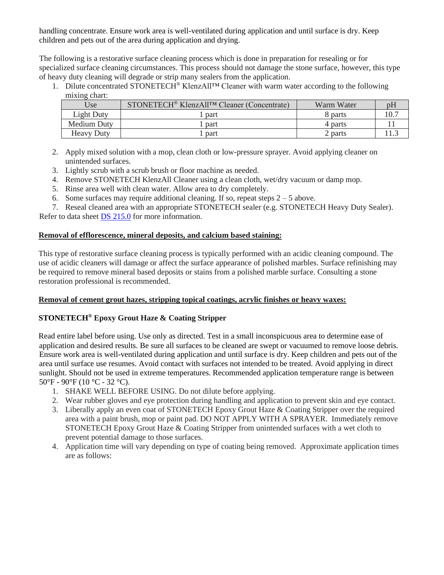handling concentrate. Ensure work area is well-ventilated during application and until surface is dry. Keep children and pets out of the area during application and drying.

The following is a restorative surface cleaning process which is done in preparation for resealing or for specialized surface cleaning circumstances. This process should not damage the stone surface, however, this type of heavy duty cleaning will degrade or strip many sealers from the application.

1. Dilute concentrated STONETECH® KlenzAll™ Cleaner with warm water according to the following mixing chart:

| Use               | STONETECH <sup>®</sup> KlenzAll <sup>TM</sup> Cleaner (Concentrate) | Warm Water |  |
|-------------------|---------------------------------------------------------------------|------------|--|
| Light Duty        | part                                                                | 8 parts    |  |
| Medium Duty       | part                                                                | 4 parts    |  |
| <b>Heavy Duty</b> | part                                                                | 2 parts    |  |

- 2. Apply mixed solution with a mop, clean cloth or low-pressure sprayer. Avoid applying cleaner on unintended surfaces.
- 3. Lightly scrub with a scrub brush or floor machine as needed.
- 4. Remove STONETECH KlenzAll Cleaner using a clean cloth, wet/dry vacuum or damp mop.
- 5. Rinse area well with clean water. Allow area to dry completely.
- 6. Some surfaces may require additional cleaning. If so, repeat steps  $2 5$  above.

7. Reseal cleaned area with an appropriate STONETECH sealer (e.g. STONETECH Heavy Duty Sealer). Refer to data sheet [DS 215.0](https://cdn.laticrete.com/~/media/product-documents/product-data-sheets/ds-215.ashx) for more information.

# **Removal of efflorescence, mineral deposits, and calcium based staining:**

This type of restorative surface cleaning process is typically performed with an acidic cleaning compound. The use of acidic cleaners will damage or affect the surface appearance of polished marbles. Surface refinishing may be required to remove mineral based deposits or stains from a polished marble surface. Consulting a stone restoration professional is recommended.

# **Removal of cement grout hazes, stripping topical coatings, acrylic finishes or heavy waxes:**

# **STONETECH® Epoxy Grout Haze & Coating Stripper**

Read entire label before using. Use only as directed. Test in a small inconspicuous area to determine ease of application and desired results. Be sure all surfaces to be cleaned are swept or vacuumed to remove loose debris. Ensure work area is well-ventilated during application and until surface is dry. Keep children and pets out of the area until surface use resumes. Avoid contact with surfaces not intended to be treated. Avoid applying in direct sunlight. Should not be used in extreme temperatures. Recommended application temperature range is between 50°F - 90°F (10 °C - 32 °C).

- 1. SHAKE WELL BEFORE USING. Do not dilute before applying.
- 2. Wear rubber gloves and eye protection during handling and application to prevent skin and eye contact.
- 3. Liberally apply an even coat of STONETECH Epoxy Grout Haze & Coating Stripper over the required area with a paint brush, mop or paint pad. DO NOT APPLY WITH A SPRAYER. Immediately remove STONETECH Epoxy Grout Haze & Coating Stripper from unintended surfaces with a wet cloth to prevent potential damage to those surfaces.
- 4. Application time will vary depending on type of coating being removed. Approximate application times are as follows: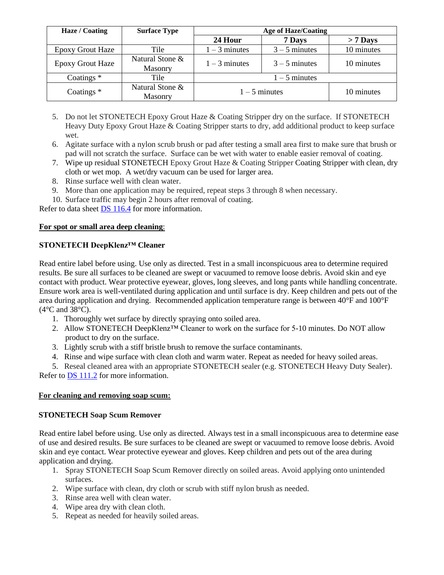| Haze / Coating          | <b>Surface Type</b>               | <b>Age of Haze/Coating</b> |                 |            |
|-------------------------|-----------------------------------|----------------------------|-----------------|------------|
|                         |                                   | 24 Hour                    | 7 Days          | $> 7$ Days |
| <b>Epoxy Grout Haze</b> | Tile                              | $1 - 3$ minutes            | $3 - 5$ minutes | 10 minutes |
| <b>Epoxy Grout Haze</b> | Natural Stone &<br><b>Masonry</b> | $1 - 3$ minutes            | $3 - 5$ minutes | 10 minutes |
| Coatings $*$<br>Tile    |                                   | $1 - 5$ minutes            |                 |            |
| Coatings $*$            | Natural Stone &<br><b>Masonry</b> | $1 - 5$ minutes            |                 | 10 minutes |

- 5. Do not let STONETECH Epoxy Grout Haze & Coating Stripper dry on the surface. If STONETECH Heavy Duty Epoxy Grout Haze & Coating Stripper starts to dry, add additional product to keep surface wet.
- 6. Agitate surface with a nylon scrub brush or pad after testing a small area first to make sure that brush or pad will not scratch the surface. Surface can be wet with water to enable easier removal of coating.
- 7. Wipe up residual STONETECH Epoxy Grout Haze & Coating Stripper Coating Stripper with clean, dry cloth or wet mop. A wet/dry vacuum can be used for larger area.
- 8. Rinse surface well with clean water.
- 9. More than one application may be required, repeat steps 3 through 8 when necessary.
- 10. Surface traffic may begin 2 hours after removal of coating.

Refer to data sheet [DS 116.4](https://cdn.laticrete.com/~/media/product-documents/product-data-sheets/ds1664_stonetech-epoxy-grout-haze-coating-stripper.ashx) for more information.

#### **For spot or small area deep cleaning**:

# **STONETECH DeepKlenz™ Cleaner**

Read entire label before using. Use only as directed. Test in a small inconspicuous area to determine required results. Be sure all surfaces to be cleaned are swept or vacuumed to remove loose debris. Avoid skin and eye contact with product. Wear protective eyewear, gloves, long sleeves, and long pants while handling concentrate. Ensure work area is well-ventilated during application and until surface is dry. Keep children and pets out of the area during application and drying. Recommended application temperature range is between 40°F and 100°F (4°C and 38°C).

- 1. Thoroughly wet surface by directly spraying onto soiled area.
- 2. Allow STONETECH DeepKlenz™ Cleaner to work on the surface for 5-10 minutes. Do NOT allow product to dry on the surface.
- 3. Lightly scrub with a stiff bristle brush to remove the surface contaminants.
- 4. Rinse and wipe surface with clean cloth and warm water. Repeat as needed for heavy soiled areas.
- 5. Reseal cleaned area with an appropriate STONETECH sealer (e.g. STONETECH Heavy Duty Sealer). Refer to [DS 111.2](https://cdn.laticrete.com/~/media/product-documents/product-data-sheets/ds-1112.ashx) for more information.

# **For cleaning and removing soap scum:**

# **STONETECH Soap Scum Remover**

Read entire label before using. Use only as directed. Always test in a small inconspicuous area to determine ease of use and desired results. Be sure surfaces to be cleaned are swept or vacuumed to remove loose debris. Avoid skin and eye contact. Wear protective eyewear and gloves. Keep children and pets out of the area during application and drying.

- 1. Spray STONETECH Soap Scum Remover directly on soiled areas. Avoid applying onto unintended surfaces.
- 2. Wipe surface with clean, dry cloth or scrub with stiff nylon brush as needed.
- 3. Rinse area well with clean water.
- 4. Wipe area dry with clean cloth.
- 5. Repeat as needed for heavily soiled areas.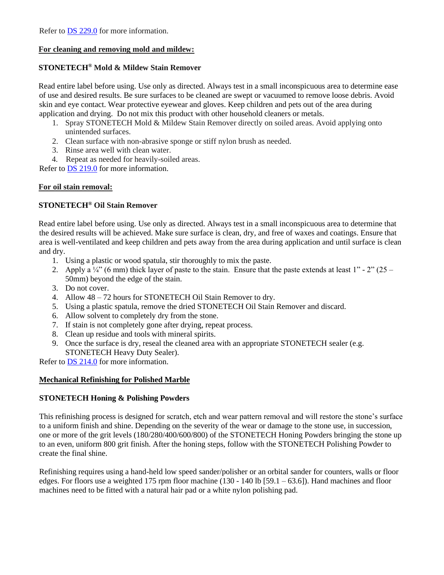Refer to **DS 229.0** for more information.

#### **For cleaning and removing mold and mildew:**

#### **STONETECH® Mold & Mildew Stain Remover**

Read entire label before using. Use only as directed. Always test in a small inconspicuous area to determine ease of use and desired results. Be sure surfaces to be cleaned are swept or vacuumed to remove loose debris. Avoid skin and eye contact. Wear protective eyewear and gloves. Keep children and pets out of the area during application and drying. Do not mix this product with other household cleaners or metals.

- 1. Spray STONETECH Mold & Mildew Stain Remover directly on soiled areas. Avoid applying onto unintended surfaces.
- 2. Clean surface with non-abrasive sponge or stiff nylon brush as needed.
- 3. Rinse area well with clean water.
- 4. Repeat as needed for heavily-soiled areas.

Refer to [DS 219.0](https://cdn.laticrete.com/~/media/product-documents/product-data-sheets/ds-219.ashx) for more information.

#### **For oil stain removal:**

# **STONETECH® Oil Stain Remover**

Read entire label before using. Use only as directed. Always test in a small inconspicuous area to determine that the desired results will be achieved. Make sure surface is clean, dry, and free of waxes and coatings. Ensure that area is well-ventilated and keep children and pets away from the area during application and until surface is clean and dry.

- 1. Using a plastic or wood spatula, stir thoroughly to mix the paste.
- 2. Apply a  $\frac{1}{4}$  (6 mm) thick layer of paste to the stain. Ensure that the paste extends at least 1" 2" (25 50mm) beyond the edge of the stain.
- 3. Do not cover.
- 4. Allow 48 72 hours for STONETECH Oil Stain Remover to dry.
- 5. Using a plastic spatula, remove the dried STONETECH Oil Stain Remover and discard.
- 6. Allow solvent to completely dry from the stone.
- 7. If stain is not completely gone after drying, repeat process.
- 8. Clean up residue and tools with mineral spirits.
- 9. Once the surface is dry, reseal the cleaned area with an appropriate STONETECH sealer (e.g. STONETECH Heavy Duty Sealer).

Refer to [DS 214.0](https://cdn.laticrete.com/~/media/product-documents/product-data-sheets/ds-214.ashx) for more information.

#### **Mechanical Refinishing for Polished Marble**

#### **STONETECH Honing & Polishing Powders**

This refinishing process is designed for scratch, etch and wear pattern removal and will restore the stone's surface to a uniform finish and shine. Depending on the severity of the wear or damage to the stone use, in succession, one or more of the grit levels (180/280/400/600/800) of the STONETECH Honing Powders bringing the stone up to an even, uniform 800 grit finish. After the honing steps, follow with the STONETECH Polishing Powder to create the final shine.

Refinishing requires using a hand-held low speed sander/polisher or an orbital sander for counters, walls or floor edges. For floors use a weighted 175 rpm floor machine (130 - 140 lb [59.1 – 63.6]). Hand machines and floor machines need to be fitted with a natural hair pad or a white nylon polishing pad.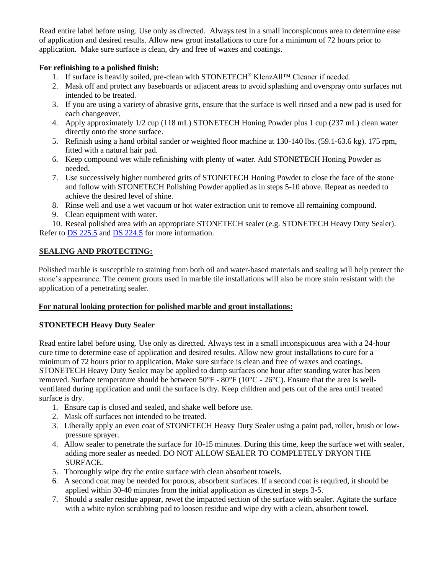Read entire label before using. Use only as directed. Always test in a small inconspicuous area to determine ease of application and desired results. Allow new grout installations to cure for a minimum of 72 hours prior to application. Make sure surface is clean, dry and free of waxes and coatings.

# **For refinishing to a polished finish:**

- 1. If surface is heavily soiled, pre-clean with STONETECH® KlenzAll™ Cleaner if needed.
- 2. Mask off and protect any baseboards or adjacent areas to avoid splashing and overspray onto surfaces not intended to be treated.
- 3. If you are using a variety of abrasive grits, ensure that the surface is well rinsed and a new pad is used for each changeover.
- 4. Apply approximately 1/2 cup (118 mL) STONETECH Honing Powder plus 1 cup (237 mL) clean water directly onto the stone surface.
- 5. Refinish using a hand orbital sander or weighted floor machine at 130-140 lbs. (59.1-63.6 kg). 175 rpm, fitted with a natural hair pad.
- 6. Keep compound wet while refinishing with plenty of water. Add STONETECH Honing Powder as needed.
- 7. Use successively higher numbered grits of STONETECH Honing Powder to close the face of the stone and follow with STONETECH Polishing Powder applied as in steps 5-10 above. Repeat as needed to achieve the desired level of shine.
- 8. Rinse well and use a wet vacuum or hot water extraction unit to remove all remaining compound.
- 9. Clean equipment with water.

10. Reseal polished area with an appropriate STONETECH sealer (e.g. STONETECH Heavy Duty Sealer). Refer to [DS 225.5](https://cdn.laticrete.com/~/media/product-documents/product-data-sheets/ds-2255.ashx) and DS [224.5](https://cdn.laticrete.com/~/media/product-documents/product-data-sheets/ds-2245.ashx) for more information.

# **SEALING AND PROTECTING:**

Polished marble is susceptible to staining from both oil and water-based materials and sealing will help protect the stone's appearance. The cement grouts used in marble tile installations will also be more stain resistant with the application of a penetrating sealer.

# **For natural looking protection for polished marble and grout installations:**

# **STONETECH Heavy Duty Sealer**

Read entire label before using. Use only as directed. Always test in a small inconspicuous area with a 24-hour cure time to determine ease of application and desired results. Allow new grout installations to cure for a minimum of 72 hours prior to application. Make sure surface is clean and free of waxes and coatings. STONETECH Heavy Duty Sealer may be applied to damp surfaces one hour after standing water has been removed. Surface temperature should be between 50°F - 80°F (10°C - 26°C). Ensure that the area is wellventilated during application and until the surface is dry. Keep children and pets out of the area until treated surface is dry.

- 1. Ensure cap is closed and sealed, and shake well before use.
- 2. Mask off surfaces not intended to be treated.
- 3. Liberally apply an even coat of STONETECH Heavy Duty Sealer using a paint pad, roller, brush or lowpressure sprayer.
- 4. Allow sealer to penetrate the surface for 10-15 minutes. During this time, keep the surface wet with sealer, adding more sealer as needed. DO NOT ALLOW SEALER TO COMPLETELY DRYON THE SURFACE.
- 5. Thoroughly wipe dry the entire surface with clean absorbent towels.
- 6. A second coat may be needed for porous, absorbent surfaces. If a second coat is required, it should be applied within 30-40 minutes from the initial application as directed in steps 3-5.
- 7. Should a sealer residue appear, rewet the impacted section of the surface with sealer. Agitate the surface with a white nylon scrubbing pad to loosen residue and wipe dry with a clean, absorbent towel.